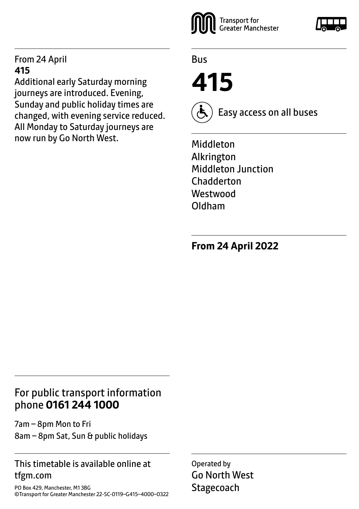#### From 24 April **415**

Additional early Saturday morning journeys are introduced. Evening, Sunday and public holiday times are changed, with evening service reduced. All Monday to Saturday journeys are now run by Go North West.



Bus

**415**



Easy access on all buses

Middleton Alkrington Middleton Junction **Chadderton Westwood** Oldham

**From 24 April 2022**

## For public transport information phone **0161 244 1000**

7am – 8pm Mon to Fri 8am – 8pm Sat, Sun & public holidays

#### This timetable is available online at tfgm.com

PO Box 429, Manchester, M1 3BG ©Transport for Greater Manchester 22-SC-0119–G415–4000–0322

Operated by Go North West **Stagecoach**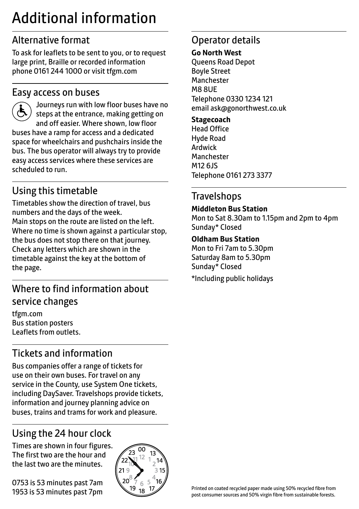## Additional information

## Alternative format

To ask for leaflets to be sent to you, or to request large print, Braille or recorded information phone 0161 244 1000 or visit tfgm.com

#### Easy access on buses

 Journeys run with low floor buses have no steps at the entrance, making getting on and off easier. Where shown, low floor buses have a ramp for access and a dedicated space for wheelchairs and pushchairs inside the bus. The bus operator will always try to provide easy access services where these services are scheduled to run.

## Using this timetable

Timetables show the direction of travel, bus numbers and the days of the week. Main stops on the route are listed on the left. Where no time is shown against a particular stop, the bus does not stop there on that journey. Check any letters which are shown in the timetable against the key at the bottom of the page.

## Where to find information about service changes

tfgm.com Bus station posters Leaflets from outlets.

## Tickets and information

Bus companies offer a range of tickets for use on their own buses. For travel on any service in the County, use System One tickets, including DaySaver. Travelshops provide tickets, information and journey planning advice on buses, trains and trams for work and pleasure.

## Using the 24 hour clock

Times are shown in four figures. The first two are the hour and the last two are the minutes.

0753 is 53 minutes past 7am 1953 is 53 minutes past 7pm



## Operator details

#### **Go North West**

Queens Road Depot Boyle Street Manchester M8 8UE Telephone 0330 1234 121 email ask@gonorthwest.co.uk

#### **Stagecoach**

Head Office Hyde Road Ardwick Manchester M12 6JS Telephone 0161 273 3377

## **Travelshops**

**Middleton Bus Station**

Mon to Sat 8.30am to 1.15pm and 2pm to 4pm Sunday\* Closed

#### **Oldham Bus Station**

Mon to Fri 7am to 5.30pm Saturday 8am to 5.30pm Sunday\* Closed \*Including public holidays

Printed on coated recycled paper made using 50% recycled fibre from post consumer sources and 50% virgin fibre from sustainable forests.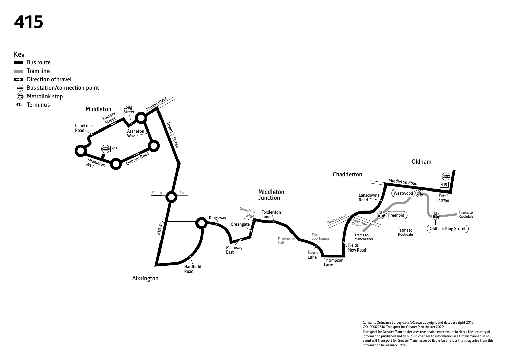# **415**



Contains Ordnance Survey data ©Crown copyright and database right 2010 ©0100022610 Transport for Greater Manchester 2022 Transport for Greater Manchester uses reasonable endeavours to check the accuracy of information published and to publish changes to information in a timely manner. In no event will Transport for Greater Manchester be liable for any loss that may arise from this information being inaccurate.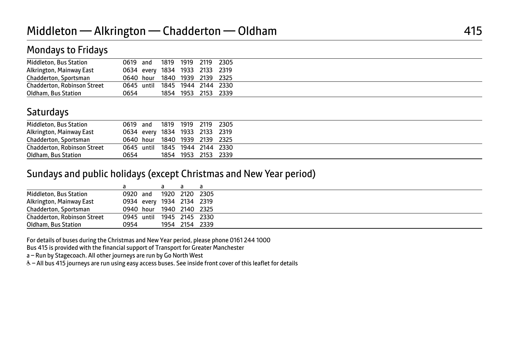## Mondays to Fridays

| Middleton, Bus Station             | 0619 and |      | 1819 1919 2119 2305            |  |
|------------------------------------|----------|------|--------------------------------|--|
| Alkrington, Mainway East           |          |      | 0634 every 1834 1933 2133 2319 |  |
| Chadderton, Sportsman              |          |      | 0640 hour 1840 1939 2139 2325  |  |
| <b>Chadderton, Robinson Street</b> |          |      | 0645 until 1845 1944 2144 2330 |  |
| Oldham, Bus Station                | 0654     | 1854 | 1953 2153 2339                 |  |

## **Saturdays**

| Middleton, Bus Station      | 0619 and   |      | 1819 1919 2119 2305            |  |
|-----------------------------|------------|------|--------------------------------|--|
| Alkrington, Mainway East    |            |      | 0634 every 1834 1933 2133 2319 |  |
| Chadderton, Sportsman       |            |      | 0640 hour 1840 1939 2139 2325  |  |
| Chadderton, Robinson Street | 0645 until |      | 1845 1944 2144 2330            |  |
| Oldham, Bus Station         | 0654       | 1854 | 1953 2153 2339                 |  |

#### Sundays and public holidays (except Christmas and New Year period)

| Middleton, Bus Station             | 0920 and                  | 1920 2120 2305 |  |
|------------------------------------|---------------------------|----------------|--|
| Alkrington, Mainway East           | 0934 every 1934 2134 2319 |                |  |
| Chadderton, Sportsman              | 0940 hour 1940 2140 2325  |                |  |
| <b>Chadderton, Robinson Street</b> | 0945 until 1945 2145 2330 |                |  |
| Oldham, Bus Station                | 0954                      | 1954 2154 2339 |  |

For details of buses during the Christmas and New Year period, please phone 0161 244 1000

Bus 415 is provided with the financial support of Transport for Greater Manchester

a – Run by Stagecoach. All other journeys are run by Go North West

W– All bus 415 journeys are run using easy access buses. See inside front cover of this leaflet for details